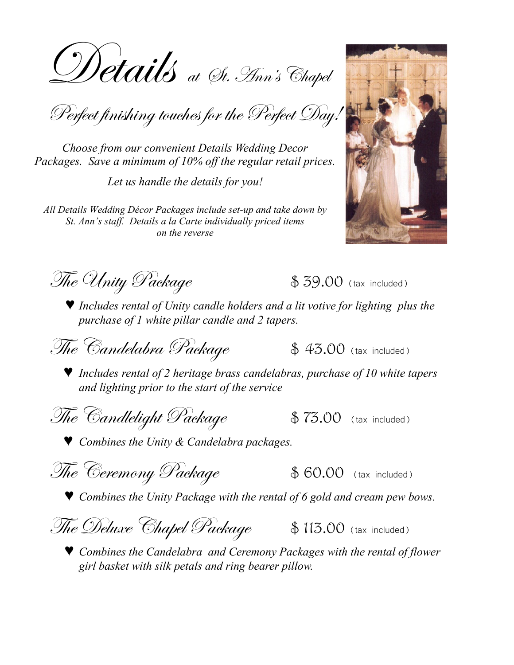Details at St. Ann's Chapel

Perfect finishing touches for the Perfect Day!

*Choose from our convenient Details Wedding Decor Packages. Save a minimum of 10% off the regular retail prices.* 

*Let us handle the details for you!*

*All Details Wedding Décor Packages include set-up and take down by St. Ann's staff. Details a la Carte individually priced items on the reverse* 



 $\mathcal{I}$ he Unity Package  $\qquad \qquad \text{$ } 39.00$  (tax included)

♥ *Includes rental of Unity candle holders and a lit votive for lighting plus the purchase of 1 white pillar candle and 2 tapers.*

The Candelabra Package  $\mathcal{F}_4$  \$ 43.00 (tax included)

♥ *Includes rental of 2 heritage brass candelabras, purchase of 10 white tapers and lighting prior to the start of the service*

 $\mathscr{T}\hspace{-0.4mm}\textit{The\; \mathcal{C}} and \mathit{left\; Package \qquad \quad \text{$ $75.00$ \text{ (tax included)}}$ 

♥ *Combines the Unity & Candelabra packages.*

 $\mathscr{F}\hspace{-0.4mm}\textit{The}$  Ceremony  $\mathscr{P}\hspace{-0.4mm}\textit{ackage}$  \$ 60.00 (tax included)

♥ *Combines the Unity Package with the rental of 6 gold and cream pew bows.*



♥ *Combines the Candelabra and Ceremony Packages with the rental of flower girl basket with silk petals and ring bearer pillow.*